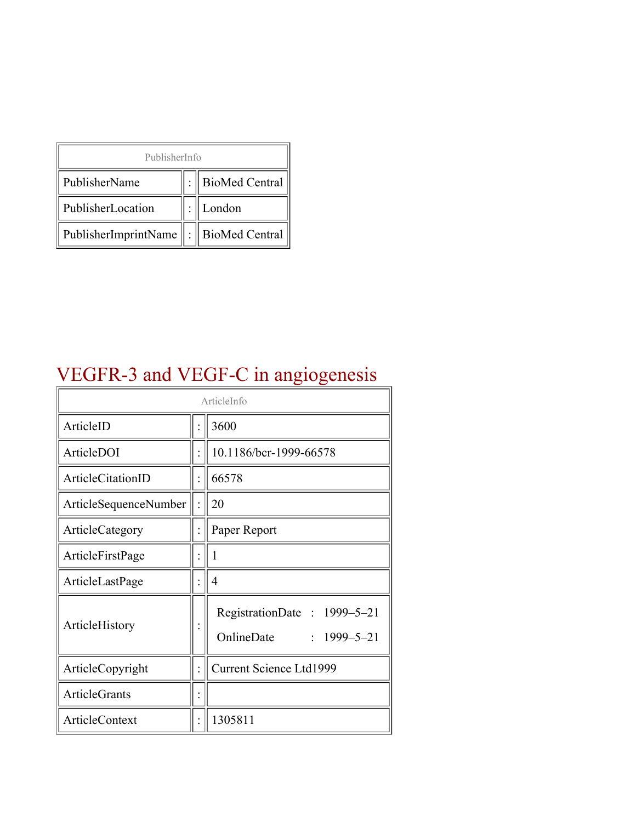| PublisherInfo                                   |  |                    |  |  |
|-------------------------------------------------|--|--------------------|--|--|
| PublisherName                                   |  | :   BioMed Central |  |  |
| PublisherLocation                               |  | London             |  |  |
| PublisherImprintName $\ \cdot\ $ BioMed Central |  |                    |  |  |

# VEGFR-3 and VEGF-C in angiogenesis

| ArticleInfo           |  |                                                                |  |
|-----------------------|--|----------------------------------------------------------------|--|
| ArticleID             |  | 3600                                                           |  |
| ArticleDOI            |  | 10.1186/bcr-1999-66578                                         |  |
| ArticleCitationID     |  | 66578                                                          |  |
| ArticleSequenceNumber |  | 20                                                             |  |
| ArticleCategory       |  | Paper Report                                                   |  |
| ArticleFirstPage      |  | 1                                                              |  |
| ArticleLastPage       |  | 4                                                              |  |
| ArticleHistory        |  | RegistrationDate: 1999–5–21<br>OnlineDate<br>$: 1999 - 5 - 21$ |  |
| ArticleCopyright      |  | <b>Current Science Ltd1999</b>                                 |  |
| <b>ArticleGrants</b>  |  |                                                                |  |
| <b>ArticleContext</b> |  | 1305811                                                        |  |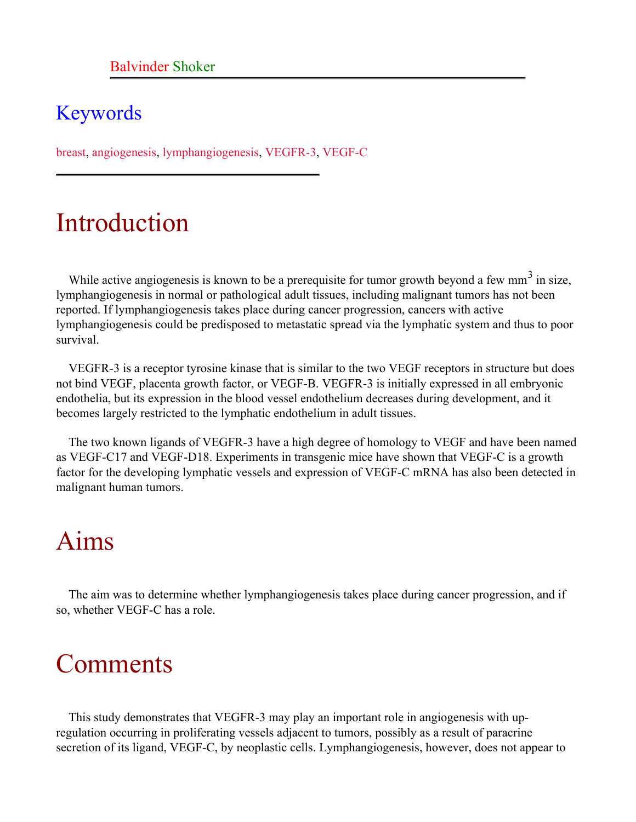#### Keywords

breast, angiogenesis, lymphangiogenesis, VEGFR-3, VEGF-C

### Introduction

While active angiogenesis is known to be a prerequisite for tumor growth beyond a few mm<sup>3</sup> in size, lymphangiogenesis in normal or pathological adult tissues, including malignant tumors has not been reported. If lymphangiogenesis takes place during cancer progression, cancers with active lymphangiogenesis could be predisposed to metastatic spread via the lymphatic system and thus to poor survival.

VEGFR-3 is a receptor tyrosine kinase that is similar to the two VEGF receptors in structure but does not bind VEGF, placenta growth factor, or VEGF-B. VEGFR-3 is initially expressed in all embryonic endothelia, but its expression in the blood vessel endothelium decreases during development, and it becomes largely restricted to the lymphatic endothelium in adult tissues.

The two known ligands of VEGFR-3 have a high degree of homology to VEGF and have been named as VEGF-C17 and VEGF-D18. Experiments in transgenic mice have shown that VEGF-C is a growth factor for the developing lymphatic vessels and expression of VEGF-C mRNA has also been detected in malignant human tumors.

# Aims

The aim was to determine whether lymphangiogenesis takes place during cancer progression, and if so, whether VEGF-C has a role.

# Comments

This study demonstrates that VEGFR-3 may play an important role in angiogenesis with upregulation occurring in proliferating vessels adjacent to tumors, possibly as a result of paracrine secretion of its ligand, VEGF-C, by neoplastic cells. Lymphangiogenesis, however, does not appear to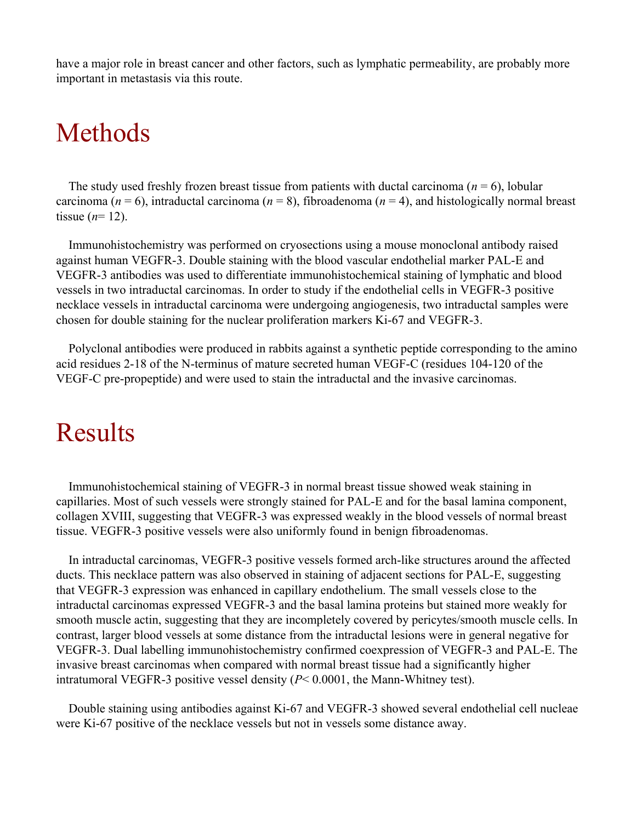have a major role in breast cancer and other factors, such as lymphatic permeability, are probably more important in metastasis via this route.

#### Methods

The study used freshly frozen breast tissue from patients with ductal carcinoma ( $n = 6$ ), lobular carcinoma ( $n = 6$ ), intraductal carcinoma ( $n = 8$ ), fibroadenoma ( $n = 4$ ), and histologically normal breast tissue  $(n=12)$ .

Immunohistochemistry was performed on cryosections using a mouse monoclonal antibody raised against human VEGFR-3. Double staining with the blood vascular endothelial marker PAL-E and VEGFR-3 antibodies was used to differentiate immunohistochemical staining of lymphatic and blood vessels in two intraductal carcinomas. In order to study if the endothelial cells in VEGFR-3 positive necklace vessels in intraductal carcinoma were undergoing angiogenesis, two intraductal samples were chosen for double staining for the nuclear proliferation markers Ki-67 and VEGFR-3.

Polyclonal antibodies were produced in rabbits against a synthetic peptide corresponding to the amino acid residues 2-18 of the N-terminus of mature secreted human VEGF-C (residues 104-120 of the VEGF-C pre-propeptide) and were used to stain the intraductal and the invasive carcinomas.

### Results

Immunohistochemical staining of VEGFR-3 in normal breast tissue showed weak staining in capillaries. Most of such vessels were strongly stained for PAL-E and for the basal lamina component, collagen XVIII, suggesting that VEGFR-3 was expressed weakly in the blood vessels of normal breast tissue. VEGFR-3 positive vessels were also uniformly found in benign fibroadenomas.

In intraductal carcinomas, VEGFR-3 positive vessels formed arch-like structures around the affected ducts. This necklace pattern was also observed in staining of adjacent sections for PAL-E, suggesting that VEGFR-3 expression was enhanced in capillary endothelium. The small vessels close to the intraductal carcinomas expressed VEGFR-3 and the basal lamina proteins but stained more weakly for smooth muscle actin, suggesting that they are incompletely covered by pericytes/smooth muscle cells. In contrast, larger blood vessels at some distance from the intraductal lesions were in general negative for VEGFR-3. Dual labelling immunohistochemistry confirmed coexpression of VEGFR-3 and PAL-E. The invasive breast carcinomas when compared with normal breast tissue had a significantly higher intratumoral VEGFR-3 positive vessel density (*P*< 0.0001, the Mann-Whitney test).

Double staining using antibodies against Ki-67 and VEGFR-3 showed several endothelial cell nucleae were Ki-67 positive of the necklace vessels but not in vessels some distance away.